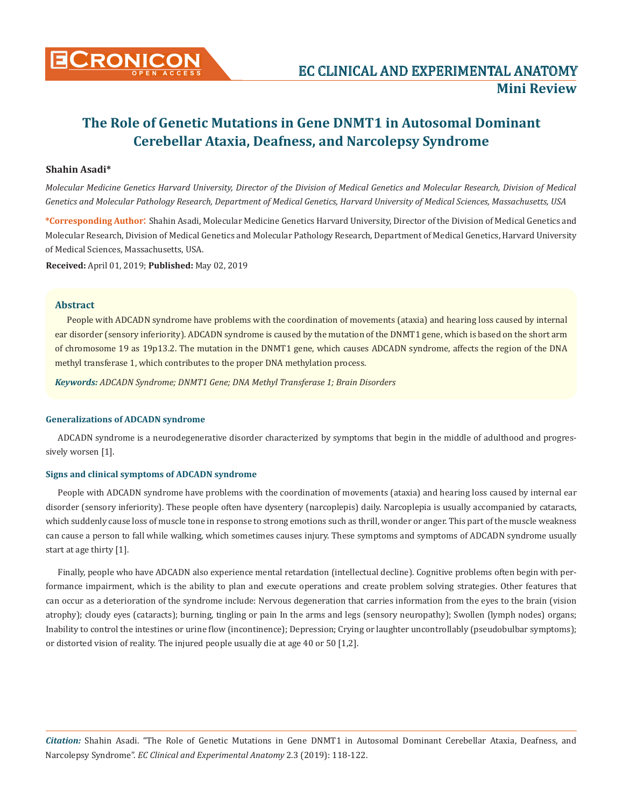

# **The Role of Genetic Mutations in Gene DNMT1 in Autosomal Dominant Cerebellar Ataxia, Deafness, and Narcolepsy Syndrome**

# **Shahin Asadi\***

*Molecular Medicine Genetics Harvard University, Director of the Division of Medical Genetics and Molecular Research, Division of Medical Genetics and Molecular Pathology Research, Department of Medical Genetics, Harvard University of Medical Sciences, Massachusetts, USA*

**\*Corresponding Author**: Shahin Asadi, Molecular Medicine Genetics Harvard University, Director of the Division of Medical Genetics and Molecular Research, Division of Medical Genetics and Molecular Pathology Research, Department of Medical Genetics, Harvard University of Medical Sciences, Massachusetts, USA.

**Received:** April 01, 2019; **Published:** May 02, 2019

# **Abstract**

People with ADCADN syndrome have problems with the coordination of movements (ataxia) and hearing loss caused by internal ear disorder (sensory inferiority). ADCADN syndrome is caused by the mutation of the DNMT1 gene, which is based on the short arm of chromosome 19 as 19p13.2. The mutation in the DNMT1 gene, which causes ADCADN syndrome, affects the region of the DNA methyl transferase 1, which contributes to the proper DNA methylation process.

*Keywords: ADCADN Syndrome; DNMT1 Gene; DNA Methyl Transferase 1; Brain Disorders*

## **Generalizations of ADCADN syndrome**

ADCADN syndrome is a neurodegenerative disorder characterized by symptoms that begin in the middle of adulthood and progressively worsen [1].

#### **Signs and clinical symptoms of ADCADN syndrome**

People with ADCADN syndrome have problems with the coordination of movements (ataxia) and hearing loss caused by internal ear disorder (sensory inferiority). These people often have dysentery (narcoplepis) daily. Narcoplepia is usually accompanied by cataracts, which suddenly cause loss of muscle tone in response to strong emotions such as thrill, wonder or anger. This part of the muscle weakness can cause a person to fall while walking, which sometimes causes injury. These symptoms and symptoms of ADCADN syndrome usually start at age thirty [1].

Finally, people who have ADCADN also experience mental retardation (intellectual decline). Cognitive problems often begin with performance impairment, which is the ability to plan and execute operations and create problem solving strategies. Other features that can occur as a deterioration of the syndrome include: Nervous degeneration that carries information from the eyes to the brain (vision atrophy); cloudy eyes (cataracts); burning, tingling or pain In the arms and legs (sensory neuropathy); Swollen (lymph nodes) organs; Inability to control the intestines or urine flow (incontinence); Depression; Crying or laughter uncontrollably (pseudobulbar symptoms); or distorted vision of reality. The injured people usually die at age 40 or 50 [1,2].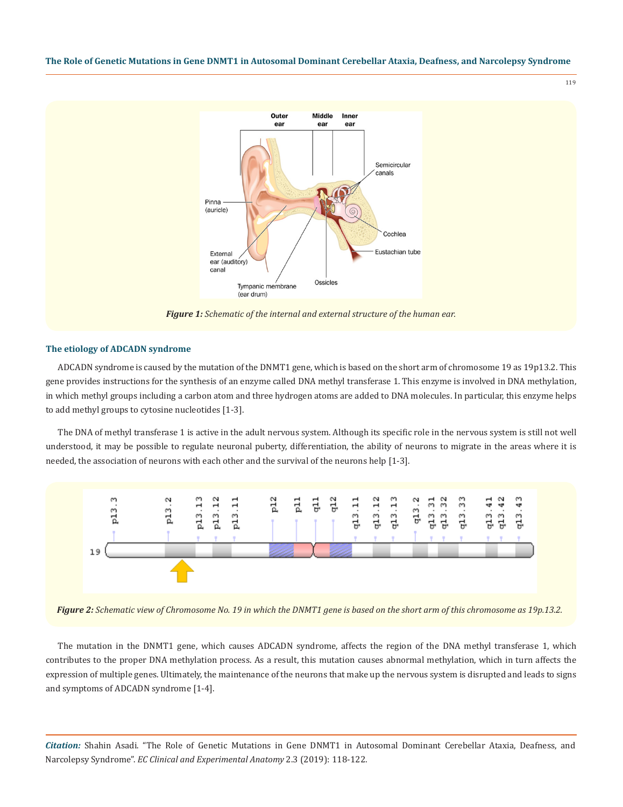#### **The Role of Genetic Mutations in Gene DNMT1 in Autosomal Dominant Cerebellar Ataxia, Deafness, and Narcolepsy Syndrome**



#### **The etiology of ADCADN syndrome**

ADCADN syndrome is caused by the mutation of the DNMT1 gene, which is based on the short arm of chromosome 19 as 19p13.2. This gene provides instructions for the synthesis of an enzyme called DNA methyl transferase 1. This enzyme is involved in DNA methylation, in which methyl groups including a carbon atom and three hydrogen atoms are added to DNA molecules. In particular, this enzyme helps to add methyl groups to cytosine nucleotides [1-3].

The DNA of methyl transferase 1 is active in the adult nervous system. Although its specific role in the nervous system is still not well understood, it may be possible to regulate neuronal puberty, differentiation, the ability of neurons to migrate in the areas where it is needed, the association of neurons with each other and the survival of the neurons help [1-3].



*Figure 2: Schematic view of Chromosome No. 19 in which the DNMT1 gene is based on the short arm of this chromosome as 19p.13.2.*

The mutation in the DNMT1 gene, which causes ADCADN syndrome, affects the region of the DNA methyl transferase 1, which contributes to the proper DNA methylation process. As a result, this mutation causes abnormal methylation, which in turn affects the expression of multiple genes. Ultimately, the maintenance of the neurons that make up the nervous system is disrupted and leads to signs and symptoms of ADCADN syndrome [1-4].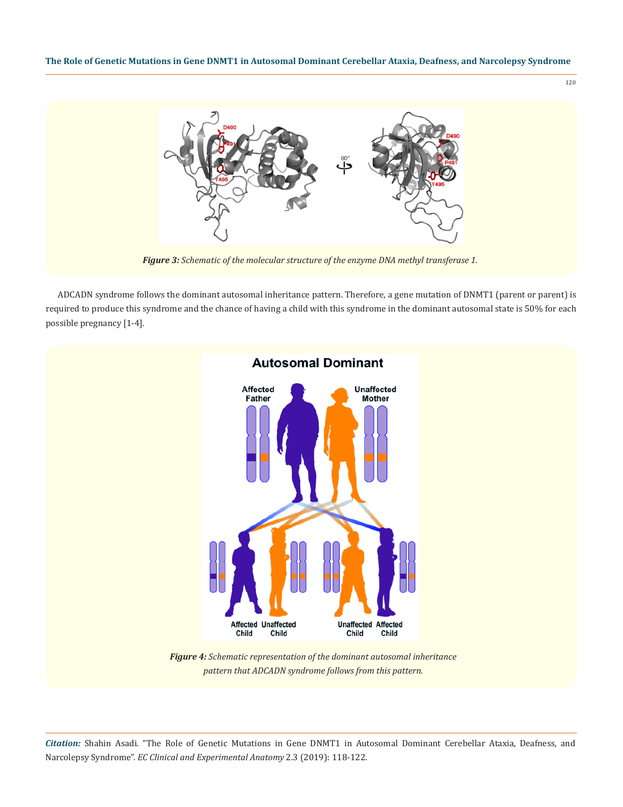**The Role of Genetic Mutations in Gene DNMT1 in Autosomal Dominant Cerebellar Ataxia, Deafness, and Narcolepsy Syndrome**

120



*Figure 3: Schematic of the molecular structure of the enzyme DNA methyl transferase 1.*

ADCADN syndrome follows the dominant autosomal inheritance pattern. Therefore, a gene mutation of DNMT1 (parent or parent) is required to produce this syndrome and the chance of having a child with this syndrome in the dominant autosomal state is 50% for each possible pregnancy [1-4].



*pattern that ADCADN syndrome follows from this pattern.*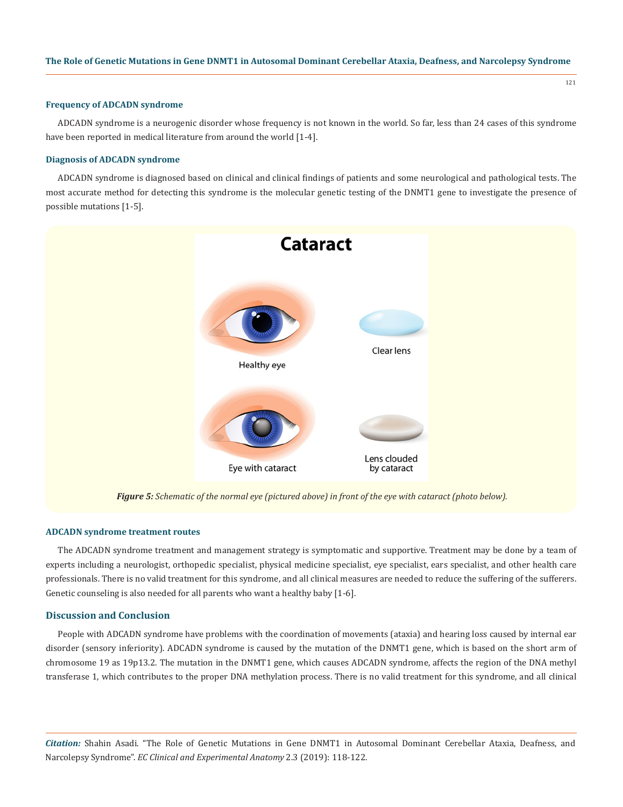121

#### **Frequency of ADCADN syndrome**

ADCADN syndrome is a neurogenic disorder whose frequency is not known in the world. So far, less than 24 cases of this syndrome have been reported in medical literature from around the world [1-4].

# **Diagnosis of ADCADN syndrome**

ADCADN syndrome is diagnosed based on clinical and clinical findings of patients and some neurological and pathological tests. The most accurate method for detecting this syndrome is the molecular genetic testing of the DNMT1 gene to investigate the presence of possible mutations [1-5].



*Figure 5: Schematic of the normal eye (pictured above) in front of the eye with cataract (photo below).*

#### **ADCADN syndrome treatment routes**

The ADCADN syndrome treatment and management strategy is symptomatic and supportive. Treatment may be done by a team of experts including a neurologist, orthopedic specialist, physical medicine specialist, eye specialist, ears specialist, and other health care professionals. There is no valid treatment for this syndrome, and all clinical measures are needed to reduce the suffering of the sufferers. Genetic counseling is also needed for all parents who want a healthy baby [1-6].

# **Discussion and Conclusion**

People with ADCADN syndrome have problems with the coordination of movements (ataxia) and hearing loss caused by internal ear disorder (sensory inferiority). ADCADN syndrome is caused by the mutation of the DNMT1 gene, which is based on the short arm of chromosome 19 as 19p13.2. The mutation in the DNMT1 gene, which causes ADCADN syndrome, affects the region of the DNA methyl transferase 1, which contributes to the proper DNA methylation process. There is no valid treatment for this syndrome, and all clinical